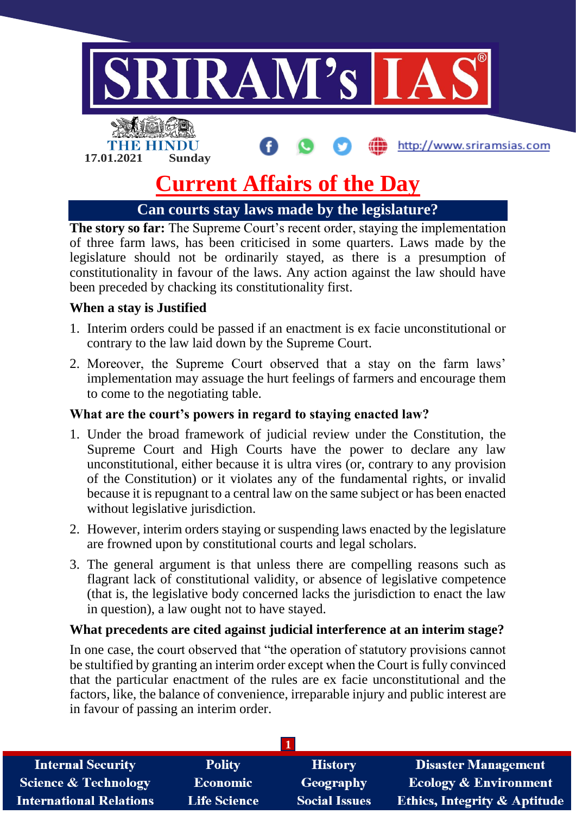

# **Current Affairs of the Day**

**Can courts stay laws made by the legislature?**

**The story so far:** The Supreme Court's recent order, staying the implementation of three farm laws, has been criticised in some quarters. Laws made by the legislature should not be ordinarily stayed, as there is a presumption of constitutionality in favour of the laws. Any action against the law should have been preceded by chacking its constitutionality first.

## **When a stay is Justified**

- 1. Interim orders could be passed if an enactment is ex facie unconstitutional or contrary to the law laid down by the Supreme Court.
- 2. Moreover, the Supreme Court observed that a stay on the farm laws' implementation may assuage the hurt feelings of farmers and encourage them to come to the negotiating table.

## **What are the court's powers in regard to staying enacted law?**

- 1. Under the broad framework of judicial review under the Constitution, the Supreme Court and High Courts have the power to declare any law unconstitutional, either because it is ultra vires (or, contrary to any provision of the Constitution) or it violates any of the fundamental rights, or invalid because it is repugnant to a central law on the same subject or has been enacted without legislative jurisdiction.
- 2. However, interim orders staying or suspending laws enacted by the legislature are frowned upon by constitutional courts and legal scholars.
- 3. The general argument is that unless there are compelling reasons such as flagrant lack of constitutional validity, or absence of legislative competence (that is, the legislative body concerned lacks the jurisdiction to enact the law in question), a law ought not to have stayed.

## **What precedents are cited against judicial interference at an interim stage?**

In one case, the court observed that "the operation of statutory provisions cannot be stultified by granting an interim order except when the Court is fully convinced that the particular enactment of the rules are ex facie unconstitutional and the factors, like, the balance of convenience, irreparable injury and public interest are in favour of passing an interim order.

| <b>Internal Security</b>       | <b>Polity</b>       | <b>History</b>       | <b>Disaster Management</b>              |
|--------------------------------|---------------------|----------------------|-----------------------------------------|
| Science & Technology           | Economic            | <b>Geography</b>     | <b>Ecology &amp; Environment</b>        |
| <b>International Relations</b> | <b>Life Science</b> | <b>Social Issues</b> | <b>Ethics, Integrity &amp; Aptitude</b> |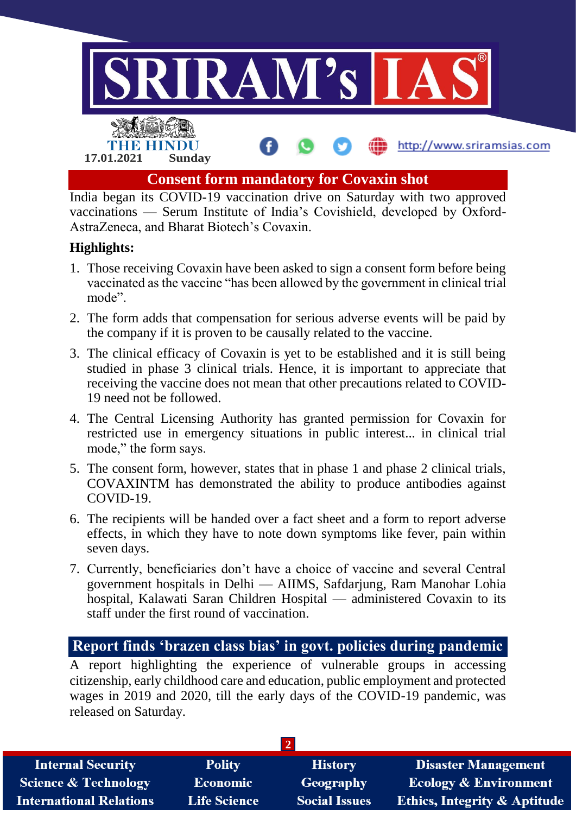

India began its COVID-19 vaccination drive on Saturday with two approved vaccinations — Serum Institute of India's Covishield, developed by Oxford-AstraZeneca, and Bharat Biotech's Covaxin.

## **Highlights:**

- 1. Those receiving Covaxin have been asked to sign a consent form before being vaccinated as the vaccine "has been allowed by the government in clinical trial mode".
- 2. The form adds that compensation for serious adverse events will be paid by the company if it is proven to be causally related to the vaccine.
- 3. The clinical efficacy of Covaxin is yet to be established and it is still being studied in phase 3 clinical trials. Hence, it is important to appreciate that receiving the vaccine does not mean that other precautions related to COVID-19 need not be followed.
- 4. The Central Licensing Authority has granted permission for Covaxin for restricted use in emergency situations in public interest... in clinical trial mode," the form says.
- 5. The consent form, however, states that in phase 1 and phase 2 clinical trials, COVAXINTM has demonstrated the ability to produce antibodies against COVID-19.
- 6. The recipients will be handed over a fact sheet and a form to report adverse effects, in which they have to note down symptoms like fever, pain within seven days.
- 7. Currently, beneficiaries don't have a choice of vaccine and several Central government hospitals in Delhi — AIIMS, Safdarjung, Ram Manohar Lohia hospital, Kalawati Saran Children Hospital — administered Covaxin to its staff under the first round of vaccination.

# **Report finds 'brazen class bias' in govt. policies during pandemic**

A report highlighting the experience of vulnerable groups in accessing citizenship, early childhood care and education, public employment and protected wages in 2019 and 2020, till the early days of the COVID-19 pandemic, was released on Saturday.

| <b>Internal Security</b>       | <b>Polity</b>       | <b>History</b>       | <b>Disaster Management</b>              |  |
|--------------------------------|---------------------|----------------------|-----------------------------------------|--|
| Science & Technology           | <b>Economic</b>     | Geography            | <b>Ecology &amp; Environment</b>        |  |
| <b>International Relations</b> | <b>Life Science</b> | <b>Social Issues</b> | <b>Ethics, Integrity &amp; Aptitude</b> |  |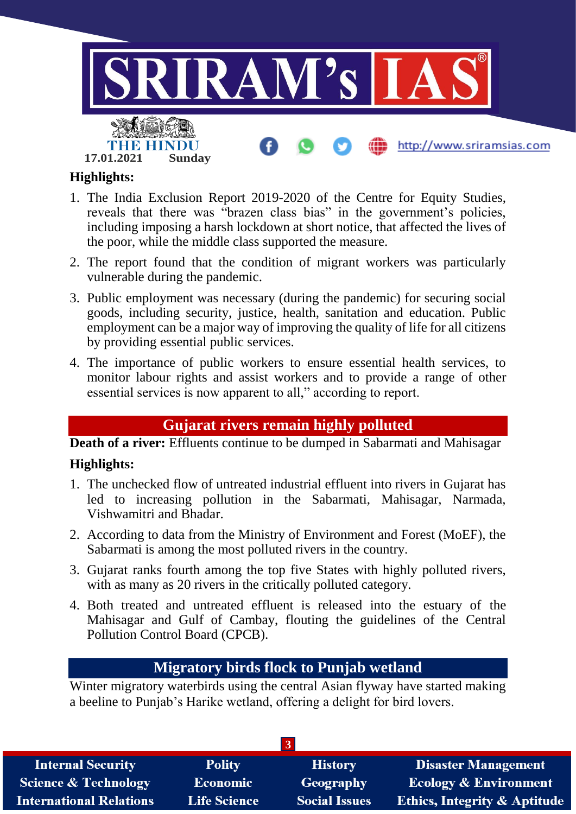

# **Highlights:**

- 1. The India Exclusion Report 2019-2020 of the Centre for Equity Studies, reveals that there was "brazen class bias" in the government's policies, including imposing a harsh lockdown at short notice, that affected the lives of the poor, while the middle class supported the measure.
- 2. The report found that the condition of migrant workers was particularly vulnerable during the pandemic.
- 3. Public employment was necessary (during the pandemic) for securing social goods, including security, justice, health, sanitation and education. Public employment can be a major way of improving the quality of life for all citizens by providing essential public services.
- 4. The importance of public workers to ensure essential health services, to monitor labour rights and assist workers and to provide a range of other essential services is now apparent to all," according to report.

# **Gujarat rivers remain highly polluted**

**Death of a river:** Effluents continue to be dumped in Sabarmati and Mahisagar

# **Highlights:**

- 1. The unchecked flow of untreated industrial effluent into rivers in Gujarat has led to increasing pollution in the Sabarmati, Mahisagar, Narmada, Vishwamitri and Bhadar.
- 2. According to data from the Ministry of Environment and Forest (MoEF), the Sabarmati is among the most polluted rivers in the country.
- 3. Gujarat ranks fourth among the top five States with highly polluted rivers, with as many as 20 rivers in the critically polluted category.
- 4. Both treated and untreated effluent is released into the estuary of the Mahisagar and Gulf of Cambay, flouting the guidelines of the Central Pollution Control Board (CPCB).

# **Migratory birds flock to Punjab wetland**

Winter migratory waterbirds using the central Asian flyway have started making a beeline to Punjab's Harike wetland, offering a delight for bird lovers.

| <b>Internal Security</b>       | <b>Polity</b>       | <b>History</b>       | <b>Disaster Management</b>              |  |  |
|--------------------------------|---------------------|----------------------|-----------------------------------------|--|--|
| Science & Technology           | <b>Economic</b>     | Geography            | <b>Ecology &amp; Environment</b>        |  |  |
| <b>International Relations</b> | <b>Life Science</b> | <b>Social Issues</b> | <b>Ethics, Integrity &amp; Aptitude</b> |  |  |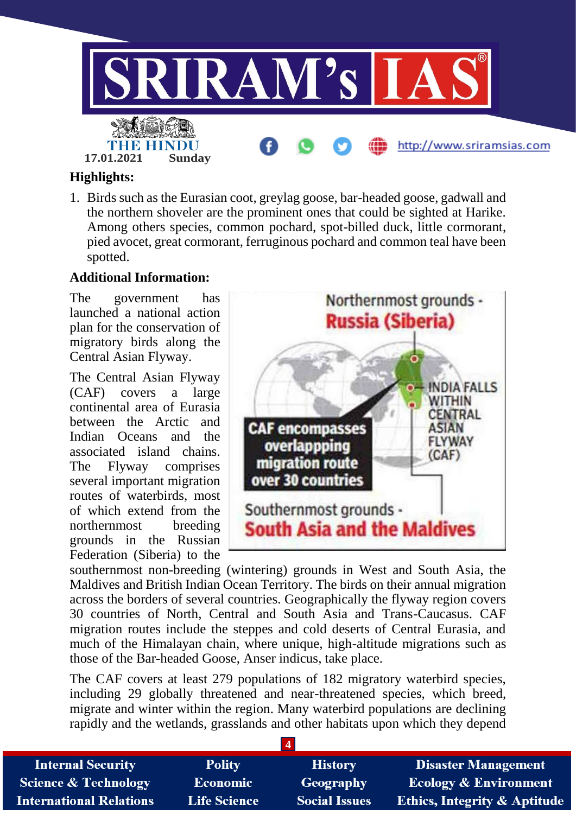

## **Highlights:**

1. Birds such as the Eurasian coot, greylag goose, bar-headed goose, gadwall and the northern shoveler are the prominent ones that could be sighted at Harike. Among others species, common pochard, spot-billed duck, little cormorant, pied avocet, great cormorant, ferruginous pochard and common teal have been spotted.

#### **Additional Information:**

The government has launched a national action plan for the conservation of migratory birds along the Central Asian Flyway.

The Central Asian Flyway (CAF) covers a large continental area of Eurasia between the Arctic and Indian Oceans and the associated island chains. The Flyway comprises several important migration routes of waterbirds, most of which extend from the northernmost breeding grounds in the Russian Federation (Siberia) to the



southernmost non-breeding (wintering) grounds in West and South Asia, the Maldives and British Indian Ocean Territory. The birds on their annual migration across the borders of several countries. Geographically the flyway region covers 30 countries of North, Central and South Asia and Trans-Caucasus. CAF migration routes include the steppes and cold deserts of Central Eurasia, and much of the Himalayan chain, where unique, high-altitude migrations such as those of the Bar-headed Goose, Anser indicus, take place.

The CAF covers at least 279 populations of 182 migratory waterbird species, including 29 globally threatened and near-threatened species, which breed, migrate and winter within the region. Many waterbird populations are declining rapidly and the wetlands, grasslands and other habitats upon which they depend

| <b>Internal Security</b>        | <b>Polity</b>       | <b>History</b>       | <b>Disaster Management</b>              |
|---------------------------------|---------------------|----------------------|-----------------------------------------|
| <b>Science &amp; Technology</b> | <b>Economic</b>     | Geography            | <b>Ecology &amp; Environment</b>        |
| <b>International Relations</b>  | <b>Life Science</b> | <b>Social Issues</b> | <b>Ethics, Integrity &amp; Aptitude</b> |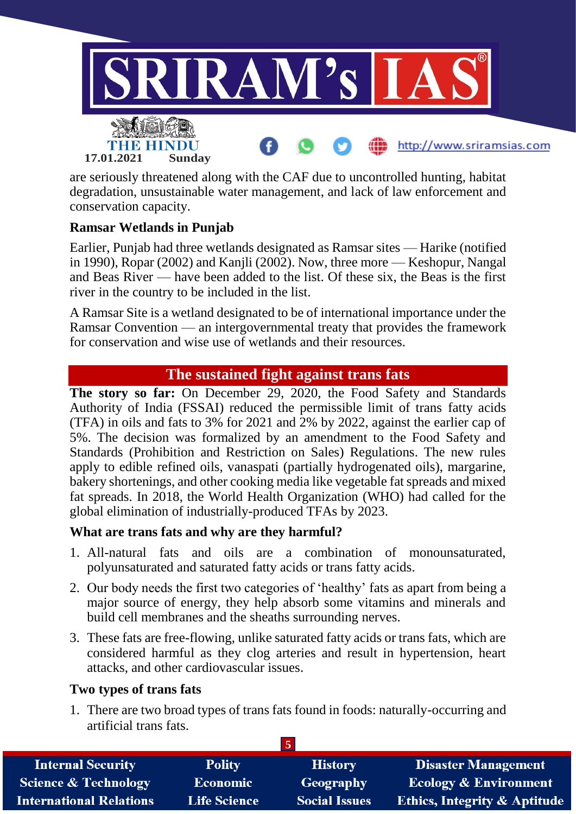

are seriously threatened along with the CAF due to uncontrolled hunting, habitat degradation, unsustainable water management, and lack of law enforcement and conservation capacity.

## **Ramsar Wetlands in Punjab**

Earlier, Punjab had three wetlands designated as Ramsar sites — Harike (notified in 1990), Ropar (2002) and Kanjli (2002). Now, three more — Keshopur, Nangal and Beas River — have been added to the list. Of these six, the Beas is the first river in the country to be included in the list.

A Ramsar Site is a wetland designated to be of international importance under the Ramsar Convention — an intergovernmental treaty that provides the framework for conservation and wise use of wetlands and their resources.

# **The sustained fight against trans fats**

**The story so far:** On December 29, 2020, the Food Safety and Standards Authority of India (FSSAI) reduced the permissible limit of trans fatty acids (TFA) in oils and fats to 3% for 2021 and 2% by 2022, against the earlier cap of 5%. The decision was formalized by an amendment to the Food Safety and Standards (Prohibition and Restriction on Sales) Regulations. The new rules apply to edible refined oils, vanaspati (partially hydrogenated oils), margarine, bakery shortenings, and other cooking media like vegetable fat spreads and mixed fat spreads. In 2018, the World Health Organization (WHO) had called for the global elimination of industrially-produced TFAs by 2023.

## **What are trans fats and why are they harmful?**

- 1. All-natural fats and oils are a combination of monounsaturated, polyunsaturated and saturated fatty acids or trans fatty acids.
- 2. Our body needs the first two categories of 'healthy' fats as apart from being a major source of energy, they help absorb some vitamins and minerals and build cell membranes and the sheaths surrounding nerves.
- 3. These fats are free-flowing, unlike saturated fatty acids or trans fats, which are considered harmful as they clog arteries and result in hypertension, heart attacks, and other cardiovascular issues.

## **Two types of trans fats**

1. There are two broad types of trans fats found in foods: naturally-occurring and artificial trans fats.

| <b>Internal Security</b>        | <b>Polity</b>       | <b>History</b>       | <b>Disaster Management</b>              |  |
|---------------------------------|---------------------|----------------------|-----------------------------------------|--|
| <b>Science &amp; Technology</b> | <b>Economic</b>     | Geography            | <b>Ecology &amp; Environment</b>        |  |
| <b>International Relations</b>  | <b>Life Science</b> | <b>Social Issues</b> | <b>Ethics, Integrity &amp; Aptitude</b> |  |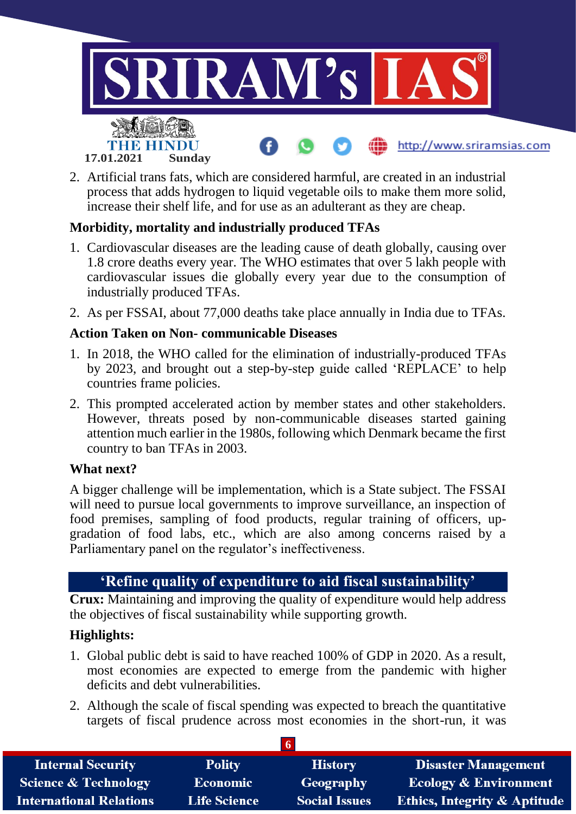

2. Artificial trans fats, which are considered harmful, are created in an industrial process that adds hydrogen to liquid vegetable oils to make them more solid, increase their shelf life, and for use as an adulterant as they are cheap.

## **Morbidity, mortality and industrially produced TFAs**

- 1. Cardiovascular diseases are the leading cause of death globally, causing over 1.8 crore deaths every year. The WHO estimates that over 5 lakh people with cardiovascular issues die globally every year due to the consumption of industrially produced TFAs.
- 2. As per FSSAI, about 77,000 deaths take place annually in India due to TFAs.

#### **Action Taken on Non- communicable Diseases**

- 1. In 2018, the WHO called for the elimination of industrially-produced TFAs by 2023, and brought out a step-by-step guide called 'REPLACE' to help countries frame policies.
- 2. This prompted accelerated action by member states and other stakeholders. However, threats posed by non-communicable diseases started gaining attention much earlier in the 1980s, following which Denmark became the first country to ban TFAs in 2003.

#### **What next?**

A bigger challenge will be implementation, which is a State subject. The FSSAI will need to pursue local governments to improve surveillance, an inspection of food premises, sampling of food products, regular training of officers, upgradation of food labs, etc., which are also among concerns raised by a Parliamentary panel on the regulator's ineffectiveness.

## **'Refine quality of expenditure to aid fiscal sustainability'**

**Crux:** Maintaining and improving the quality of expenditure would help address the objectives of fiscal sustainability while supporting growth.

## **Highlights:**

- 1. Global public debt is said to have reached 100% of GDP in 2020. As a result, most economies are expected to emerge from the pandemic with higher deficits and debt vulnerabilities.
- 2. Although the scale of fiscal spending was expected to breach the quantitative targets of fiscal prudence across most economies in the short-run, it was

| <b>Internal Security</b>        | <b>Polity</b>       | <b>History</b>       | <b>Disaster Management</b>              |
|---------------------------------|---------------------|----------------------|-----------------------------------------|
| <b>Science &amp; Technology</b> | <b>Economic</b>     | Geography            | Ecology & Environment                   |
| <b>International Relations</b>  | <b>Life Science</b> | <b>Social Issues</b> | <b>Ethics, Integrity &amp; Aptitude</b> |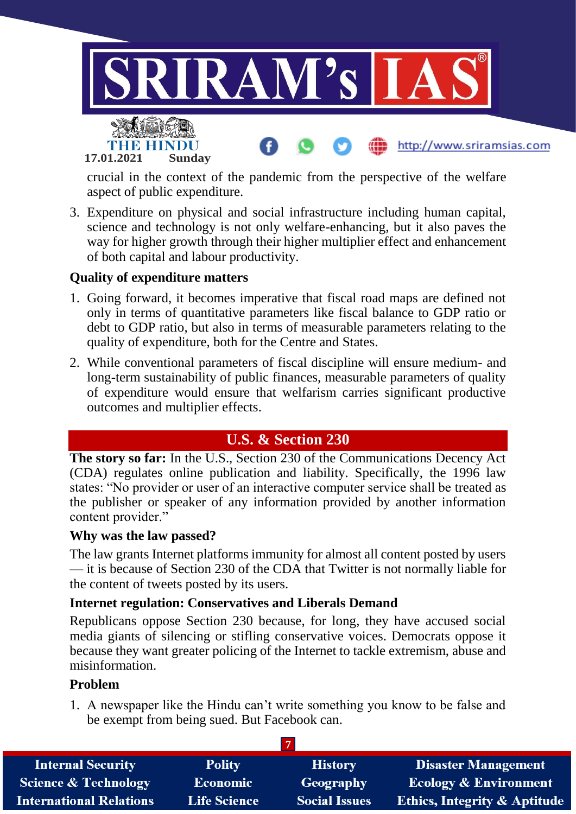

crucial in the context of the pandemic from the perspective of the welfare aspect of public expenditure.

3. Expenditure on physical and social infrastructure including human capital, science and technology is not only welfare-enhancing, but it also paves the way for higher growth through their higher multiplier effect and enhancement of both capital and labour productivity.

## **Quality of expenditure matters**

- 1. Going forward, it becomes imperative that fiscal road maps are defined not only in terms of quantitative parameters like fiscal balance to GDP ratio or debt to GDP ratio, but also in terms of measurable parameters relating to the quality of expenditure, both for the Centre and States.
- 2. While conventional parameters of fiscal discipline will ensure medium- and long-term sustainability of public finances, measurable parameters of quality of expenditure would ensure that welfarism carries significant productive outcomes and multiplier effects.

# **U.S. & Section 230**

**The story so far:** In the U.S., Section 230 of the Communications Decency Act (CDA) regulates online publication and liability. Specifically, the 1996 law states: "No provider or user of an interactive computer service shall be treated as the publisher or speaker of any information provided by another information content provider."

## **Why was the law passed?**

The law grants Internet platforms immunity for almost all content posted by users — it is because of Section 230 of the CDA that Twitter is not normally liable for the content of tweets posted by its users.

## **Internet regulation: Conservatives and Liberals Demand**

Republicans oppose Section 230 because, for long, they have accused social media giants of silencing or stifling conservative voices. Democrats oppose it because they want greater policing of the Internet to tackle extremism, abuse and misinformation.

## **Problem**

1. A newspaper like the Hindu can't write something you know to be false and be exempt from being sued. But Facebook can.

| <b>Internal Security</b>        | <b>Polity</b>       | <b>History</b>       | <b>Disaster Management</b>              |  |
|---------------------------------|---------------------|----------------------|-----------------------------------------|--|
| <b>Science &amp; Technology</b> | <b>Economic</b>     | Geography            | <b>Ecology &amp; Environment</b>        |  |
| <b>International Relations</b>  | <b>Life Science</b> | <b>Social Issues</b> | <b>Ethics, Integrity &amp; Aptitude</b> |  |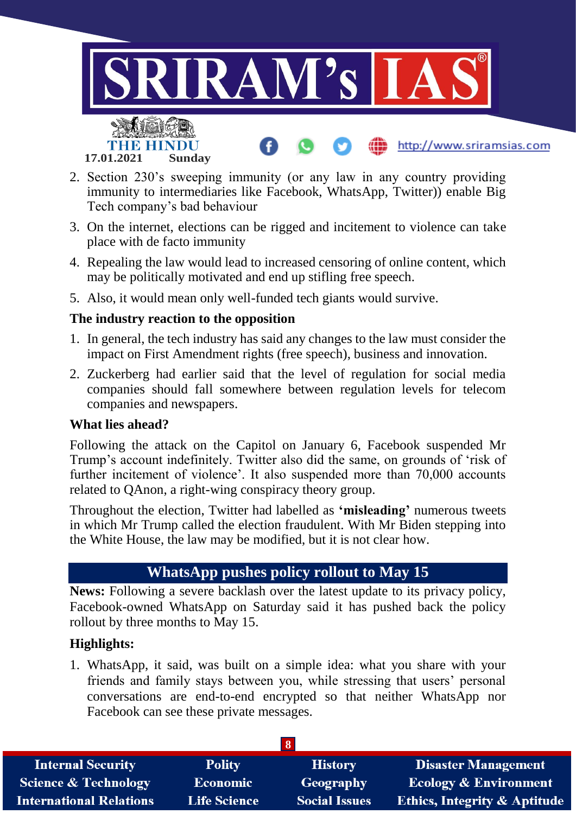

- 2. Section 230's sweeping immunity (or any law in any country providing immunity to intermediaries like Facebook, WhatsApp, Twitter)) enable Big Tech company's bad behaviour
- 3. On the internet, elections can be rigged and incitement to violence can take place with de facto immunity
- 4. Repealing the law would lead to increased censoring of online content, which may be politically motivated and end up stifling free speech.
- 5. Also, it would mean only well-funded tech giants would survive.

## **The industry reaction to the opposition**

- 1. In general, the tech industry has said any changes to the law must consider the impact on First Amendment rights (free speech), business and innovation.
- 2. Zuckerberg had earlier said that the level of regulation for social media companies should fall somewhere between regulation levels for telecom companies and newspapers.

## **What lies ahead?**

Following the attack on the Capitol on January 6, Facebook suspended Mr Trump's account indefinitely. Twitter also did the same, on grounds of 'risk of further incitement of violence'. It also suspended more than 70,000 accounts related to QAnon, a right-wing conspiracy theory group.

Throughout the election, Twitter had labelled as **'misleading'** numerous tweets in which Mr Trump called the election fraudulent. With Mr Biden stepping into the White House, the law may be modified, but it is not clear how.

# **WhatsApp pushes policy rollout to May 15**

**News:** Following a severe backlash over the latest update to its privacy policy, Facebook-owned WhatsApp on Saturday said it has pushed back the policy rollout by three months to May 15.

## **Highlights:**

1. WhatsApp, it said, was built on a simple idea: what you share with your friends and family stays between you, while stressing that users' personal conversations are end-to-end encrypted so that neither WhatsApp nor Facebook can see these private messages.

| <b>Internal Security</b>        | <b>Polity</b>   | <b>History</b>       | <b>Disaster Management</b>              |  |
|---------------------------------|-----------------|----------------------|-----------------------------------------|--|
| <b>Science &amp; Technology</b> | <b>Economic</b> | <b>Geography</b>     | <b>Ecology &amp; Environment</b>        |  |
| <b>International Relations</b>  | Life Science    | <b>Social Issues</b> | <b>Ethics, Integrity &amp; Aptitude</b> |  |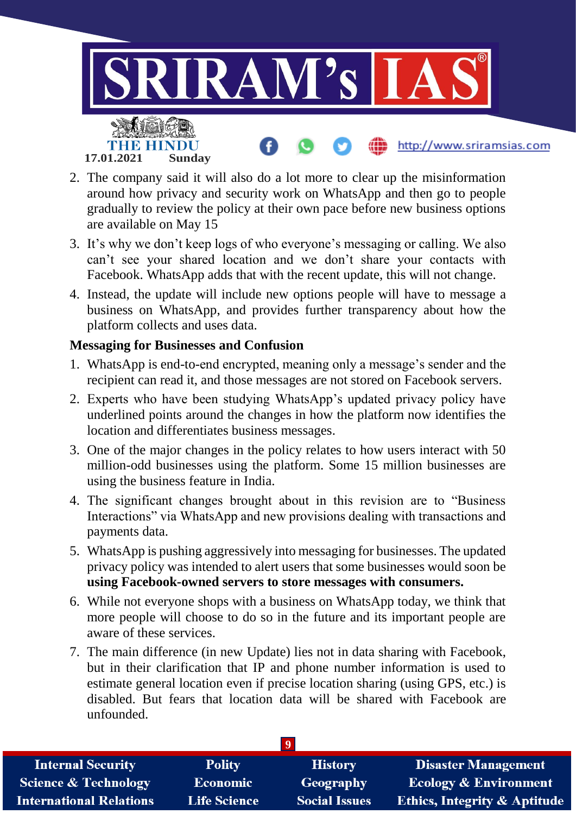

- 2. The company said it will also do a lot more to clear up the misinformation around how privacy and security work on WhatsApp and then go to people gradually to review the policy at their own pace before new business options are available on May 15
- 3. It's why we don't keep logs of who everyone's messaging or calling. We also can't see your shared location and we don't share your contacts with Facebook. WhatsApp adds that with the recent update, this will not change.
- 4. Instead, the update will include new options people will have to message a business on WhatsApp, and provides further transparency about how the platform collects and uses data.

## **Messaging for Businesses and Confusion**

- 1. WhatsApp is end-to-end encrypted, meaning only a message's sender and the recipient can read it, and those messages are not stored on Facebook servers.
- 2. Experts who have been studying WhatsApp's updated privacy policy have underlined points around the changes in how the platform now identifies the location and differentiates business messages.
- 3. One of the major changes in the policy relates to how users interact with 50 million-odd businesses using the platform. Some 15 million businesses are using the business feature in India.
- 4. The significant changes brought about in this revision are to "Business Interactions" via WhatsApp and new provisions dealing with transactions and payments data.
- 5. WhatsApp is pushing aggressively into messaging for businesses. The updated privacy policy was intended to alert users that some businesses would soon be **using Facebook-owned servers to store messages with consumers.**
- 6. While not everyone shops with a business on WhatsApp today, we think that more people will choose to do so in the future and its important people are aware of these services.
- 7. The main difference (in new Update) lies not in data sharing with Facebook, but in their clarification that IP and phone number information is used to estimate general location even if precise location sharing (using GPS, etc.) is disabled. But fears that location data will be shared with Facebook are unfounded.

| <b>Internal Security</b>        | <b>Polity</b>       | <b>History</b>       | <b>Disaster Management</b>              |  |
|---------------------------------|---------------------|----------------------|-----------------------------------------|--|
| <b>Science &amp; Technology</b> | <b>Economic</b>     | Geography            | <b>Ecology &amp; Environment</b>        |  |
| <b>International Relations</b>  | <b>Life Science</b> | <b>Social Issues</b> | <b>Ethics, Integrity &amp; Aptitude</b> |  |